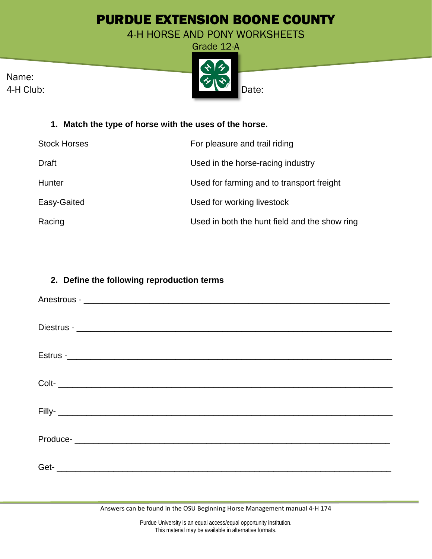# PURDUE EXTENSION BOONE COUNTY

4-H HORSE AND PONY WORKSHEETS

|           | $\mathbf{A}$                |       |
|-----------|-----------------------------|-------|
| Name:     | $\mathcal{L}_{\mathcal{U}}$ |       |
| 4-H Club: |                             | Date: |



## **1. Match the type of horse with the uses of the horse.**

| <b>Stock Horses</b> | For pleasure and trail riding                 |
|---------------------|-----------------------------------------------|
| Draft               | Used in the horse-racing industry             |
| Hunter              | Used for farming and to transport freight     |
| Easy-Gaited         | Used for working livestock                    |
| Racing              | Used in both the hunt field and the show ring |

### **2. Define the following reproduction terms**